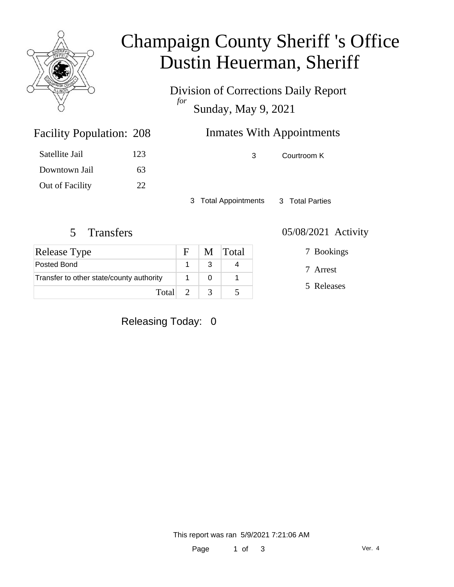

## Champaign County Sheriff 's Office Dustin Heuerman, Sheriff

Division of Corrections Daily Report *for* Sunday, May 9, 2021

| <b>Facility Population: 208</b> |     | <b>Inmates With Appointments</b> |             |  |
|---------------------------------|-----|----------------------------------|-------------|--|
| Satellite Jail                  | 123 | $\mathcal{R}$                    | Courtroom K |  |
| Downtown Jail                   | 63  |                                  |             |  |

3 Total Appointments 3 Total Parties

Out of Facility 22

| Release Type                             |  |               | M Total |
|------------------------------------------|--|---------------|---------|
| Posted Bond                              |  |               |         |
| Transfer to other state/county authority |  |               |         |
| Total 2                                  |  | $\mathcal{R}$ |         |

#### 5 Transfers 05/08/2021 Activity

7 Bookings

7 Arrest

5 Releases

Releasing Today: 0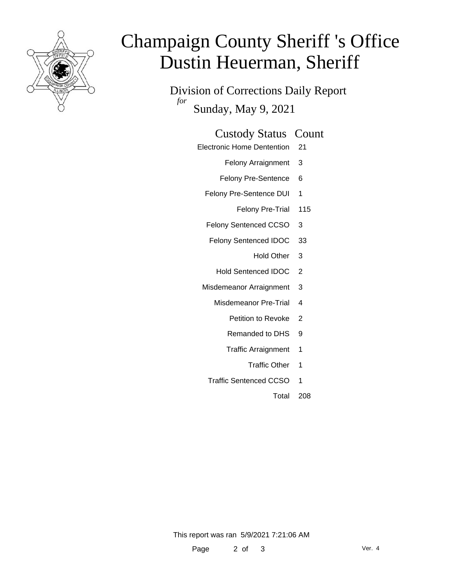

# Champaign County Sheriff 's Office Dustin Heuerman, Sheriff

Division of Corrections Daily Report *for* Sunday, May 9, 2021

### Custody Status Count

- Electronic Home Dentention 21
	- Felony Arraignment 3
	- Felony Pre-Sentence 6
	- Felony Pre-Sentence DUI 1
		- Felony Pre-Trial 115
	- Felony Sentenced CCSO 3
	- Felony Sentenced IDOC 33
		- Hold Other 3
		- Hold Sentenced IDOC 2
	- Misdemeanor Arraignment 3
		- Misdemeanor Pre-Trial 4
			- Petition to Revoke 2
			- Remanded to DHS 9
			- Traffic Arraignment 1
				- Traffic Other 1
		- Traffic Sentenced CCSO 1
			- Total 208

This report was ran 5/9/2021 7:21:06 AM